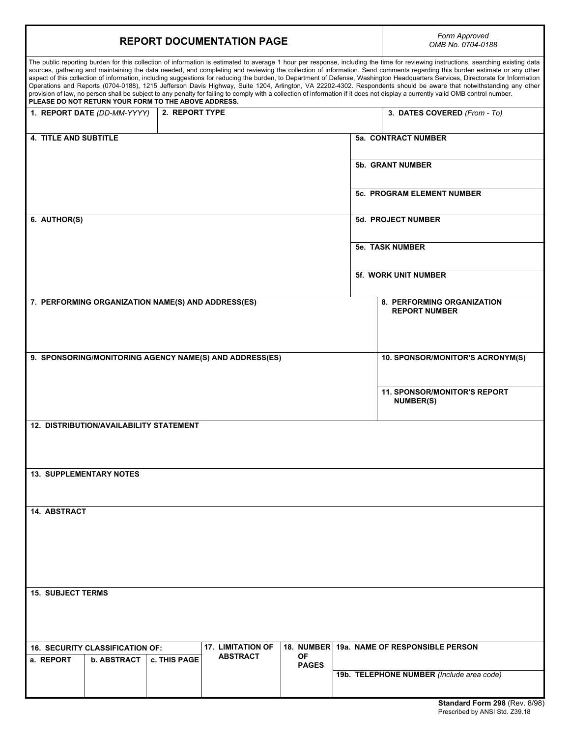| Form Approved<br><b>REPORT DOCUMENTATION PAGE</b><br>OMB No. 0704-0188                                                                                                                                                                                                                                                                                                                                                                                                                                                                                                                                                                                                                                                                                                                                                                                                                                                                                               |  |
|----------------------------------------------------------------------------------------------------------------------------------------------------------------------------------------------------------------------------------------------------------------------------------------------------------------------------------------------------------------------------------------------------------------------------------------------------------------------------------------------------------------------------------------------------------------------------------------------------------------------------------------------------------------------------------------------------------------------------------------------------------------------------------------------------------------------------------------------------------------------------------------------------------------------------------------------------------------------|--|
|                                                                                                                                                                                                                                                                                                                                                                                                                                                                                                                                                                                                                                                                                                                                                                                                                                                                                                                                                                      |  |
| The public reporting burden for this collection of information is estimated to average 1 hour per response, including the time for reviewing instructions, searching existing data<br>sources, gathering and maintaining the data needed, and completing and reviewing the collection of information. Send comments regarding this burden estimate or any other<br>aspect of this collection of information, including suggestions for reducing the burden, to Department of Defense, Washington Headquarters Services, Directorate for Information<br>Operations and Reports (0704-0188), 1215 Jefferson Davis Highway, Suite 1204, Arlington, VA 22202-4302. Respondents should be aware that notwithstanding any other<br>provision of law, no person shall be subject to any penalty for failing to comply with a collection of information if it does not display a currently valid OMB control number.<br>PLEASE DO NOT RETURN YOUR FORM TO THE ABOVE ADDRESS. |  |
| 1. REPORT DATE (DD-MM-YYYY)<br>2. REPORT TYPE<br>3. DATES COVERED (From - To)                                                                                                                                                                                                                                                                                                                                                                                                                                                                                                                                                                                                                                                                                                                                                                                                                                                                                        |  |
| <b>4. TITLE AND SUBTITLE</b><br>5a. CONTRACT NUMBER                                                                                                                                                                                                                                                                                                                                                                                                                                                                                                                                                                                                                                                                                                                                                                                                                                                                                                                  |  |
| <b>5b. GRANT NUMBER</b>                                                                                                                                                                                                                                                                                                                                                                                                                                                                                                                                                                                                                                                                                                                                                                                                                                                                                                                                              |  |
| <b>5c. PROGRAM ELEMENT NUMBER</b>                                                                                                                                                                                                                                                                                                                                                                                                                                                                                                                                                                                                                                                                                                                                                                                                                                                                                                                                    |  |
| 6. AUTHOR(S)<br><b>5d. PROJECT NUMBER</b>                                                                                                                                                                                                                                                                                                                                                                                                                                                                                                                                                                                                                                                                                                                                                                                                                                                                                                                            |  |
| <b>5e. TASK NUMBER</b>                                                                                                                                                                                                                                                                                                                                                                                                                                                                                                                                                                                                                                                                                                                                                                                                                                                                                                                                               |  |
| <b>5f. WORK UNIT NUMBER</b>                                                                                                                                                                                                                                                                                                                                                                                                                                                                                                                                                                                                                                                                                                                                                                                                                                                                                                                                          |  |
| 7. PERFORMING ORGANIZATION NAME(S) AND ADDRESS(ES)<br>8. PERFORMING ORGANIZATION<br><b>REPORT NUMBER</b>                                                                                                                                                                                                                                                                                                                                                                                                                                                                                                                                                                                                                                                                                                                                                                                                                                                             |  |
| 9. SPONSORING/MONITORING AGENCY NAME(S) AND ADDRESS(ES)<br>10. SPONSOR/MONITOR'S ACRONYM(S)                                                                                                                                                                                                                                                                                                                                                                                                                                                                                                                                                                                                                                                                                                                                                                                                                                                                          |  |
| <b>11. SPONSOR/MONITOR'S REPORT</b><br><b>NUMBER(S)</b>                                                                                                                                                                                                                                                                                                                                                                                                                                                                                                                                                                                                                                                                                                                                                                                                                                                                                                              |  |
| 12. DISTRIBUTION/AVAILABILITY STATEMENT                                                                                                                                                                                                                                                                                                                                                                                                                                                                                                                                                                                                                                                                                                                                                                                                                                                                                                                              |  |
| <b>13. SUPPLEMENTARY NOTES</b>                                                                                                                                                                                                                                                                                                                                                                                                                                                                                                                                                                                                                                                                                                                                                                                                                                                                                                                                       |  |
|                                                                                                                                                                                                                                                                                                                                                                                                                                                                                                                                                                                                                                                                                                                                                                                                                                                                                                                                                                      |  |
| <b>14. ABSTRACT</b>                                                                                                                                                                                                                                                                                                                                                                                                                                                                                                                                                                                                                                                                                                                                                                                                                                                                                                                                                  |  |
|                                                                                                                                                                                                                                                                                                                                                                                                                                                                                                                                                                                                                                                                                                                                                                                                                                                                                                                                                                      |  |
| <b>15. SUBJECT TERMS</b>                                                                                                                                                                                                                                                                                                                                                                                                                                                                                                                                                                                                                                                                                                                                                                                                                                                                                                                                             |  |
|                                                                                                                                                                                                                                                                                                                                                                                                                                                                                                                                                                                                                                                                                                                                                                                                                                                                                                                                                                      |  |
| <b>17. LIMITATION OF</b><br>18. NUMBER 19a. NAME OF RESPONSIBLE PERSON<br><b>16. SECURITY CLASSIFICATION OF:</b><br>OF<br><b>ABSTRACT</b><br>c. THIS PAGE<br>a. REPORT<br><b>b. ABSTRACT</b><br><b>PAGES</b>                                                                                                                                                                                                                                                                                                                                                                                                                                                                                                                                                                                                                                                                                                                                                         |  |
| 19b. TELEPHONE NUMBER (Include area code)                                                                                                                                                                                                                                                                                                                                                                                                                                                                                                                                                                                                                                                                                                                                                                                                                                                                                                                            |  |